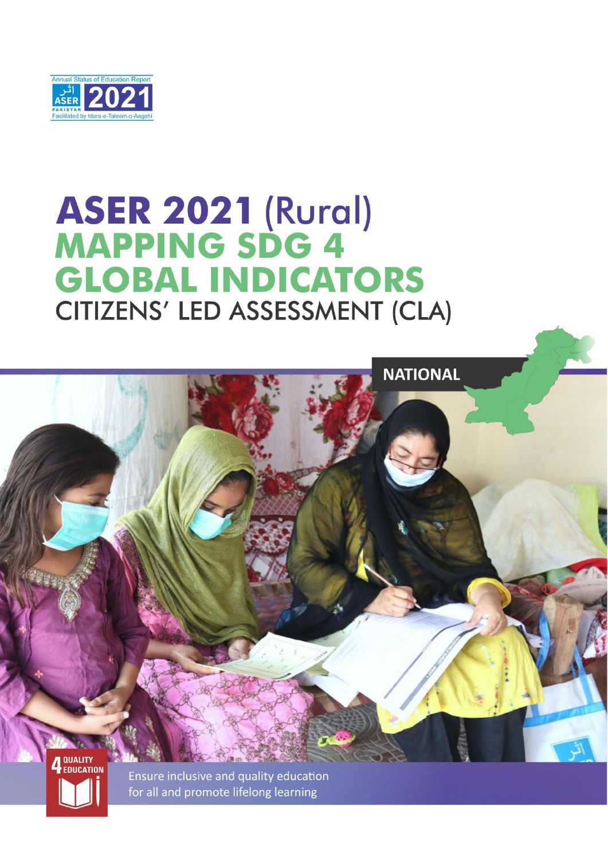

# **ASER 2021 (Rural)<br>MAPPING SDG 4 GLOBAL INDICATORS** CITIZENS' LED ASSESSMENT (CLA)



for all and promote lifelong learning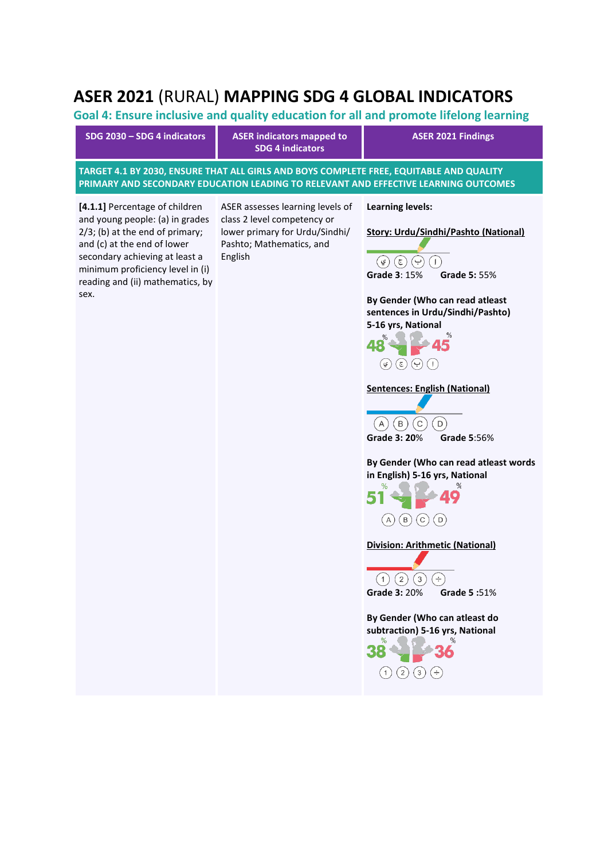# **ASER 2021** (RURAL) **MAPPING SDG 4 GLOBAL INDICATORS**

**Goal 4: Ensure inclusive and quality education for all and promote lifelong learning**

| SDG 2030 - SDG 4 indicators                                                                                                                                                                                                                              | <b>ASER indicators mapped to</b><br><b>SDG 4 indicators</b>                                                                              | <b>ASER 2021 Findings</b>                                                                                                                                                                                                                                                                                                                                                                                                                                                                                                                                                                                                                                                                                                    |
|----------------------------------------------------------------------------------------------------------------------------------------------------------------------------------------------------------------------------------------------------------|------------------------------------------------------------------------------------------------------------------------------------------|------------------------------------------------------------------------------------------------------------------------------------------------------------------------------------------------------------------------------------------------------------------------------------------------------------------------------------------------------------------------------------------------------------------------------------------------------------------------------------------------------------------------------------------------------------------------------------------------------------------------------------------------------------------------------------------------------------------------------|
|                                                                                                                                                                                                                                                          | TARGET 4.1 BY 2030, ENSURE THAT ALL GIRLS AND BOYS COMPLETE FREE, EQUITABLE AND QUALITY                                                  | PRIMARY AND SECONDARY EDUCATION LEADING TO RELEVANT AND EFFECTIVE LEARNING OUTCOMES                                                                                                                                                                                                                                                                                                                                                                                                                                                                                                                                                                                                                                          |
| [4.1.1] Percentage of children<br>and young people: (a) in grades<br>$2/3$ ; (b) at the end of primary;<br>and (c) at the end of lower<br>secondary achieving at least a<br>minimum proficiency level in (i)<br>reading and (ii) mathematics, by<br>sex. | ASER assesses learning levels of<br>class 2 level competency or<br>lower primary for Urdu/Sindhi/<br>Pashto; Mathematics, and<br>English | <b>Learning levels:</b><br><b>Story: Urdu/Sindhi/Pashto (National)</b><br>$(\epsilon)$<br>(ي<br>ب<br>Ι.<br>Grade 3: 15%<br><b>Grade 5: 55%</b><br>By Gender (Who can read atleast<br>sentences in Urdu/Sindhi/Pashto)<br>5-16 yrs, National<br>%<br>48<br>$(\epsilon)$<br>( ي<br>(پ<br><b>Sentences: English (National)</b><br>C<br>$\mathsf D$<br>(B)<br>$\mathsf{A}$<br><b>Grade 3: 20%</b><br>Grade 5:56%<br>By Gender (Who can read atleast words<br>in English) 5-16 yrs, National<br>℅<br>℅<br>В<br>С<br>D<br>Division: Arithmetic (National)<br>$\binom{2}{}$<br>$\left(3\right)$<br>Ŧ<br>(1)<br><b>Grade 3: 20%</b><br>Grade 5:51%<br>By Gender (Who can atleast do<br>subtraction) 5-16 yrs, National<br>$\pm$<br>3 |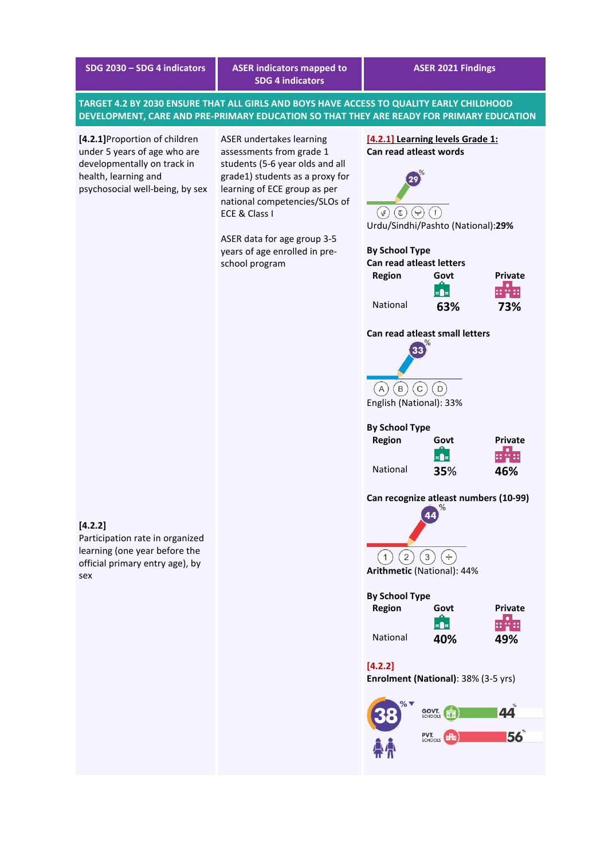**SDG 2030 – SDG 4 indicators ASER indicators mapped to SDG 4 indicators**

**TARGET 4.2 BY 2030 ENSURE THAT ALL GIRLS AND BOYS HAVE ACCESS TO QUALITY EARLY CHILDHOOD DEVELOPMENT, CARE AND PRE-PRIMARY EDUCATION SO THAT THEY ARE READY FOR PRIMARY EDUCATION**

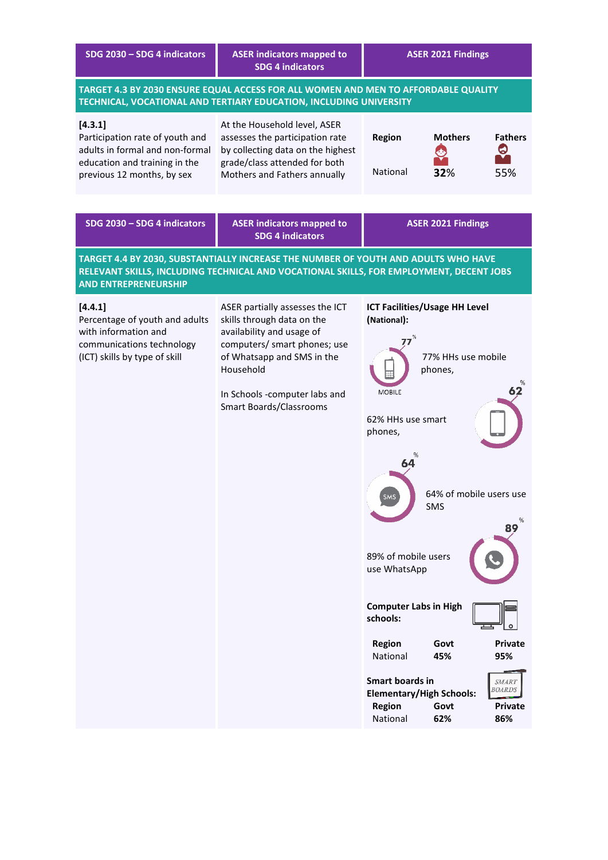| SDG 2030 - SDG 4 indicators                                                                                                                  | <b>ASER indicators mapped to</b><br><b>SDG 4 indicators</b>                                                                                                                                                                              | <b>ASER 2021 Findings</b>                                                                                                                                                                                                                                                                                                                                                                                                                                                                                   |
|----------------------------------------------------------------------------------------------------------------------------------------------|------------------------------------------------------------------------------------------------------------------------------------------------------------------------------------------------------------------------------------------|-------------------------------------------------------------------------------------------------------------------------------------------------------------------------------------------------------------------------------------------------------------------------------------------------------------------------------------------------------------------------------------------------------------------------------------------------------------------------------------------------------------|
|                                                                                                                                              | TARGET 4.3 BY 2030 ENSURE EQUAL ACCESS FOR ALL WOMEN AND MEN TO AFFORDABLE QUALITY<br>TECHNICAL, VOCATIONAL AND TERTIARY EDUCATION, INCLUDING UNIVERSITY                                                                                 |                                                                                                                                                                                                                                                                                                                                                                                                                                                                                                             |
| [4.3.1]<br>Participation rate of youth and<br>adults in formal and non-formal<br>education and training in the<br>previous 12 months, by sex | At the Household level, ASER<br>assesses the participation rate<br>by collecting data on the highest<br>grade/class attended for both<br>Mothers and Fathers annually                                                                    | <b>Region</b><br><b>Mothers</b><br><b>Fathers</b><br><u>ර</u><br>National<br>32%<br>55%                                                                                                                                                                                                                                                                                                                                                                                                                     |
| SDG 2030 - SDG 4 indicators                                                                                                                  | <b>ASER indicators mapped to</b><br><b>SDG 4 indicators</b>                                                                                                                                                                              | <b>ASER 2021 Findings</b>                                                                                                                                                                                                                                                                                                                                                                                                                                                                                   |
| <b>AND ENTREPRENEURSHIP</b>                                                                                                                  | TARGET 4.4 BY 2030, SUBSTANTIALLY INCREASE THE NUMBER OF YOUTH AND ADULTS WHO HAVE                                                                                                                                                       | RELEVANT SKILLS, INCLUDING TECHNICAL AND VOCATIONAL SKILLS, FOR EMPLOYMENT, DECENT JOBS                                                                                                                                                                                                                                                                                                                                                                                                                     |
| [4.4.1]<br>Percentage of youth and adults<br>with information and<br>communications technology<br>(ICT) skills by type of skill              | ASER partially assesses the ICT<br>skills through data on the<br>availability and usage of<br>computers/ smart phones; use<br>of Whatsapp and SMS in the<br>Household<br>In Schools -computer labs and<br><b>Smart Boards/Classrooms</b> | ICT Facilities/Usage HH Level<br>(National):<br>77% HHs use mobile<br>phones,<br>62<br><b>MOBILE</b><br>62% HHs use smart<br>phones,<br>%<br>64<br>64% of mobile users use<br>SMS<br>SMS<br>89<br>89% of mobile users<br>use WhatsApp<br><b>Computer Labs in High</b><br>schools:<br><b>Region</b><br>Govt<br>Private<br>National<br>45%<br>95%<br><b>Smart boards in</b><br><b>SMART</b><br><i>BOARDS</i><br><b>Elementary/High Schools:</b><br><b>Region</b><br>Govt<br>Private<br>National<br>62%<br>86% |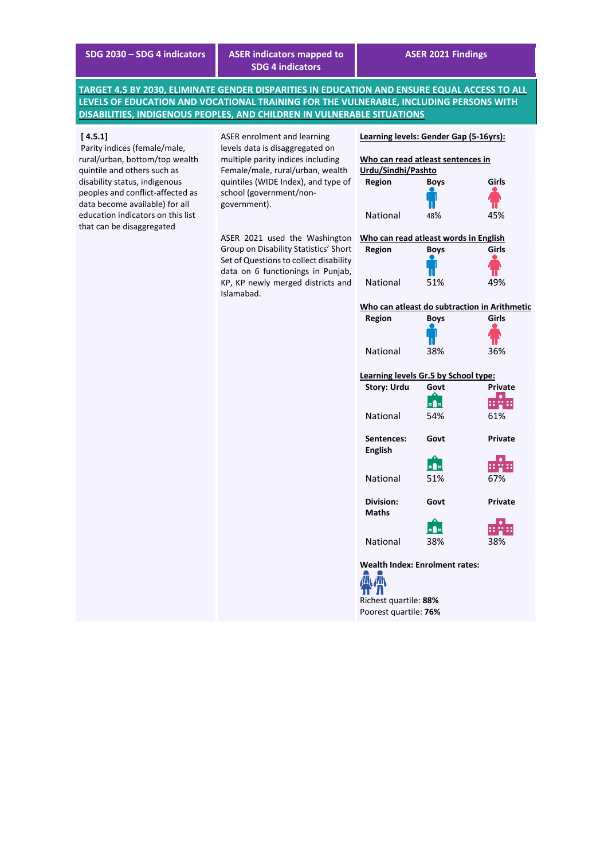**SDG 2030 – SDG 4 indicators ASER indicators mapped to SDG 4 indicators**

**TARGET 4.5 BY 2030, ELIMINATE GENDER DISPARITIES IN EDUCATION AND ENSURE EQUAL ACCESS TO ALL LEVELS OF EDUCATION AND VOCATIONAL TRAINING FOR THE VULNERABLE, INCLUDING PERSONS WITH DISABILITIES, INDIGENOUS PEOPLES, AND CHILDREN IN VULNERABLE SITUATIONS**

#### **[ 4.5.1]**

Parity indices (female/male, rural/urban, bottom/top wealth quintile and others such as disability status, indigenous peoples and conflict-affected as data become available) for all education indicators on this list that can be disaggregated

ASER enrolment and learning levels data is disaggregated on multiple parity indices including Female/male, rural/urban, wealth quintiles (WIDE Index), and type of school (government/nongovernment).

ASER 2021 used the Washington Group on Disability Statistics' Short Set of Questions to collect disability data on 6 functionings in Punjab, KP, KP newly merged districts and Islamabad.



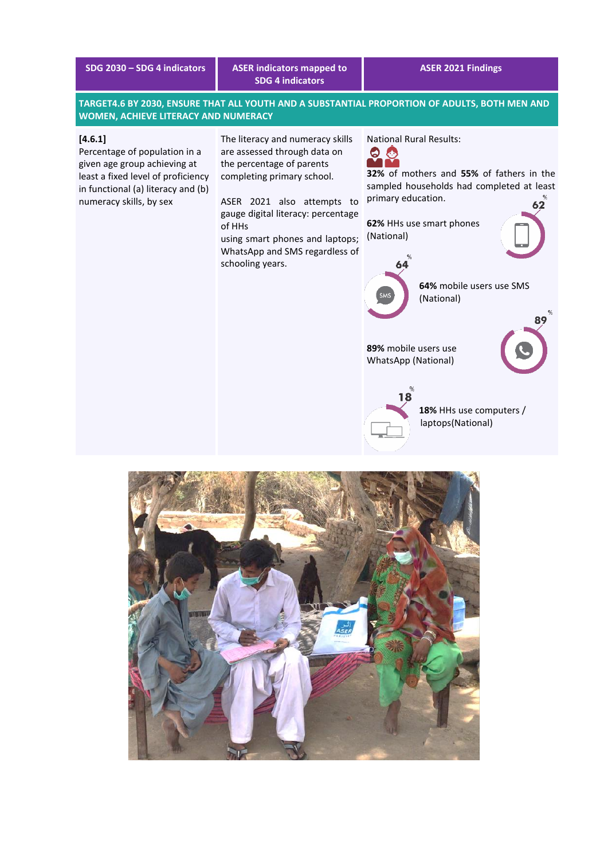|  |  |  |  |  | SDG 2030 – SDG 4 indicators |
|--|--|--|--|--|-----------------------------|
|  |  |  |  |  |                             |

# **SDG 2030 – SDG 4 indicators ASER indicators mapped to SDG 4 indicators**

## **ASER 2021 Findings**

**TARGET4.6 BY 2030, ENSURE THAT ALL YOUTH AND A SUBSTANTIAL PROPORTION OF ADULTS, BOTH MEN AND WOMEN, ACHIEVE LITERACY AND NUMERACY**

## **[4.6.1]**

Percentage of population in a given age group achieving at least a fixed level of proficiency in functional (a) literacy and (b) numeracy skills, by sex

The literacy and numeracy skills are assessed through data on the percentage of parents completing primary school.

ASER 2021 also attempts to gauge digital literacy: percentage of HHs

using smart phones and laptops; WhatsApp and SMS regardless of schooling years.

National Rural Results:



**32%** of mothers and **55%** of fathers in the sampled households had completed at least primary education.

**62%** HHs use smart phones (National)



**64%** mobile users use SMS (National)

**RQ** 

**89%** mobile users use WhatsApp (National)

18

**18%** HHs use computers / laptops(National)

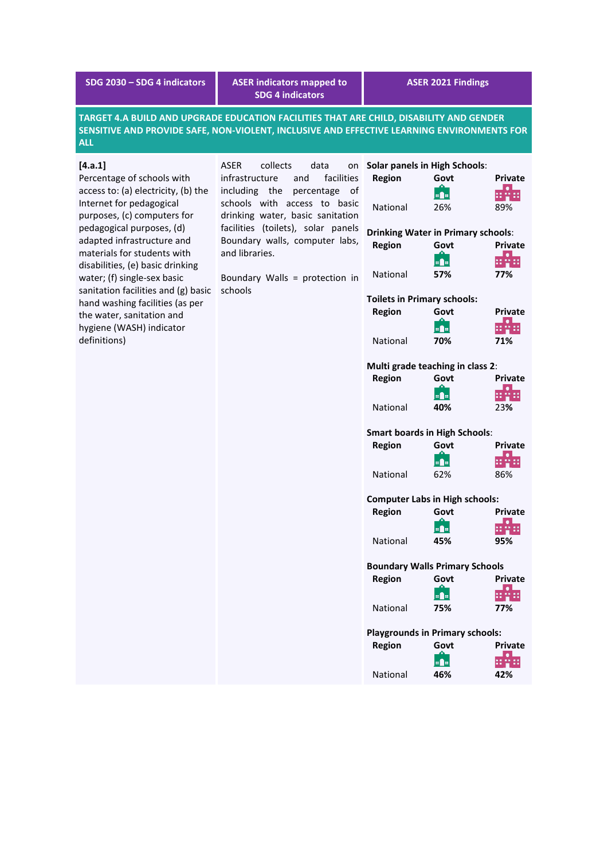| SDG 2030 - SDG 4 indicators                                                                                                                                                                                                                                                                                                                                                                                                                             | <b>ASER indicators mapped to</b><br><b>SDG 4 indicators</b>                                                                                                                                                                                                                                                                  |                                                                                                                                                                                                                                                                                                                                                                                                                                                                                                                                                                         | <b>ASER 2021 Findings</b>                                                                                                                                                                                    |                                                                                                                                                                                                                                                                            |
|---------------------------------------------------------------------------------------------------------------------------------------------------------------------------------------------------------------------------------------------------------------------------------------------------------------------------------------------------------------------------------------------------------------------------------------------------------|------------------------------------------------------------------------------------------------------------------------------------------------------------------------------------------------------------------------------------------------------------------------------------------------------------------------------|-------------------------------------------------------------------------------------------------------------------------------------------------------------------------------------------------------------------------------------------------------------------------------------------------------------------------------------------------------------------------------------------------------------------------------------------------------------------------------------------------------------------------------------------------------------------------|--------------------------------------------------------------------------------------------------------------------------------------------------------------------------------------------------------------|----------------------------------------------------------------------------------------------------------------------------------------------------------------------------------------------------------------------------------------------------------------------------|
| <b>ALL</b>                                                                                                                                                                                                                                                                                                                                                                                                                                              | TARGET 4.A BUILD AND UPGRADE EDUCATION FACILITIES THAT ARE CHILD, DISABILITY AND GENDER<br>SENSITIVE AND PROVIDE SAFE, NON-VIOLENT, INCLUSIVE AND EFFECTIVE LEARNING ENVIRONMENTS FOR                                                                                                                                        |                                                                                                                                                                                                                                                                                                                                                                                                                                                                                                                                                                         |                                                                                                                                                                                                              |                                                                                                                                                                                                                                                                            |
| [4.a.1]<br>Percentage of schools with<br>access to: (a) electricity, (b) the<br>Internet for pedagogical<br>purposes, (c) computers for<br>pedagogical purposes, (d)<br>adapted infrastructure and<br>materials for students with<br>disabilities, (e) basic drinking<br>water; (f) single-sex basic<br>sanitation facilities and (g) basic<br>hand washing facilities (as per<br>the water, sanitation and<br>hygiene (WASH) indicator<br>definitions) | <b>ASER</b><br>collects<br>data<br>on<br>infrastructure<br>and<br>facilities<br>including the<br>percentage<br>οf<br>schools with access to basic<br>drinking water, basic sanitation<br>facilities (toilets), solar panels<br>Boundary walls, computer labs,<br>and libraries.<br>Boundary Walls = protection in<br>schools | <b>Solar panels in High Schools:</b><br><b>Region</b><br>National<br><b>Drinking Water in Primary schools:</b><br><b>Region</b><br>National<br><b>Toilets in Primary schools:</b><br><b>Region</b><br>National<br>Multi grade teaching in class 2:<br><b>Region</b><br>National<br><b>Smart boards in High Schools:</b><br><b>Region</b><br>National<br><b>Computer Labs in High schools:</b><br><b>Region</b><br>National<br><b>Boundary Walls Primary Schools</b><br><b>Region</b><br>National<br><b>Playgrounds in Primary schools:</b><br><b>Region</b><br>National | Govt<br>a a<br>26%<br>Govt<br>80 B<br>57%<br>Govt<br><b>uf</b> u<br>70%<br>Govt<br>a <b>d</b> al<br>40%<br>Govt<br>a <b>P</b> a<br>62%<br>Govt<br>a fa<br>45%<br>Govt<br>o de<br>75%<br>Govt<br> ¤∎¤ <br>46% | <b>Private</b><br>erre<br>89%<br><b>Private</b><br>878<br>77%<br>Private<br>유물료<br>71%<br><b>Private</b><br><b>HALL</b><br>23%<br><b>Private</b><br>유유표<br>86%<br>Private<br>$\bullet$<br>유물료<br>95%<br><b>Private</b><br>a.<br>유물료<br>77%<br><b>Private</b><br>부정표<br>42% |
|                                                                                                                                                                                                                                                                                                                                                                                                                                                         |                                                                                                                                                                                                                                                                                                                              |                                                                                                                                                                                                                                                                                                                                                                                                                                                                                                                                                                         |                                                                                                                                                                                                              |                                                                                                                                                                                                                                                                            |